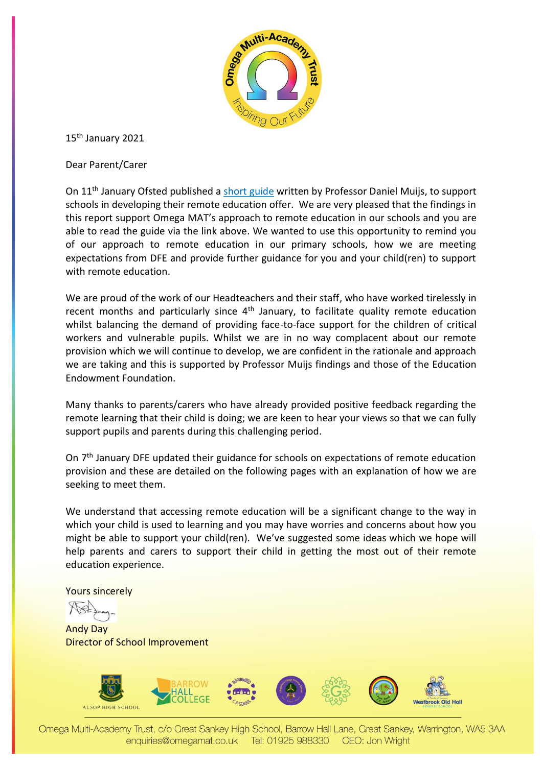

15th January 2021

Dear Parent/Carer

On 11<sup>th</sup> January Ofsted published a short [guide](https://www.gov.uk/government/publications/whats-working-well-in-remote-education/whats-working-well-in-remote-education) written by Professor Daniel Muijs, to support schools in developing their remote education offer. We are very pleased that the findings in this report support Omega MAT's approach to remote education in our schools and you are able to read the guide via the link above. We wanted to use this opportunity to remind you of our approach to remote education in our primary schools, how we are meeting expectations from DFE and provide further guidance for you and your child(ren) to support with remote education.

We are proud of the work of our Headteachers and their staff, who have worked tirelessly in recent months and particularly since  $4<sup>th</sup>$  January, to facilitate quality remote education whilst balancing the demand of providing face-to-face support for the children of critical workers and vulnerable pupils. Whilst we are in no way complacent about our remote provision which we will continue to develop, we are confident in the rationale and approach we are taking and this is supported by Professor Muijs findings and those of the Education Endowment Foundation.

Many thanks to parents/carers who have already provided positive feedback regarding the remote learning that their child is doing; we are keen to hear your views so that we can fully support pupils and parents during this challenging period.

On 7<sup>th</sup> January DFE updated their guidance for schools on expectations of remote education provision and these are detailed on the following pages with an explanation of how we are seeking to meet them.

We understand that accessing remote education will be a significant change to the way in which your child is used to learning and you may have worries and concerns about how you might be able to support your child(ren). We've suggested some ideas which we hope will help parents and carers to support their child in getting the most out of their remote education experience.

Yours sincerely

Andy Day Director of School Improvement



Omega Multi-Academy Trust, c/o Great Sankey High School, Barrow Hall Lane, Great Sankey, Warrington, WA5 3AA enquiries@omegamat.co.uk Tel: 01925 988330 CEO: Jon Wright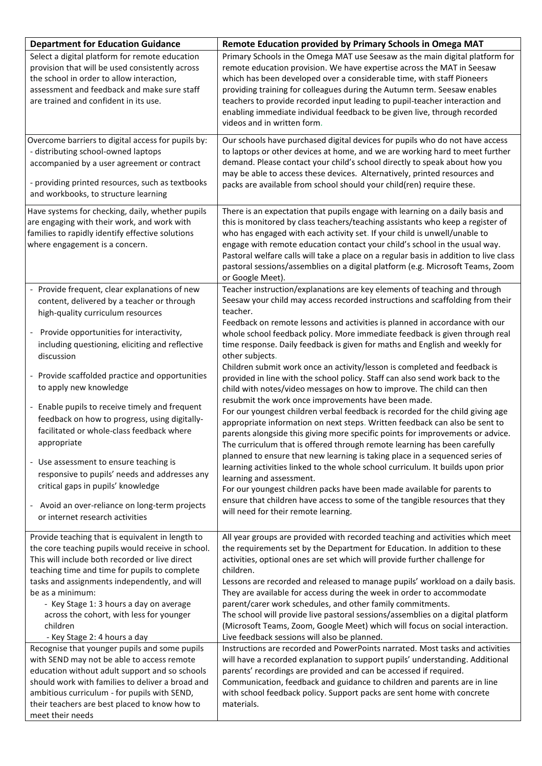| <b>Department for Education Guidance</b>                                                                                                                                                                                                                                                                                                                                                                                                                                                                                                                                                                                                                                                                                                   | Remote Education provided by Primary Schools in Omega MAT                                                                                                                                                                                                                                                                                                                                                                                                                                                                                                                                                                                                                                                                                                                                                                                                                                                                                                                                                                                                                                                                                                                                                                                                                                                                                                                                                                                                              |
|--------------------------------------------------------------------------------------------------------------------------------------------------------------------------------------------------------------------------------------------------------------------------------------------------------------------------------------------------------------------------------------------------------------------------------------------------------------------------------------------------------------------------------------------------------------------------------------------------------------------------------------------------------------------------------------------------------------------------------------------|------------------------------------------------------------------------------------------------------------------------------------------------------------------------------------------------------------------------------------------------------------------------------------------------------------------------------------------------------------------------------------------------------------------------------------------------------------------------------------------------------------------------------------------------------------------------------------------------------------------------------------------------------------------------------------------------------------------------------------------------------------------------------------------------------------------------------------------------------------------------------------------------------------------------------------------------------------------------------------------------------------------------------------------------------------------------------------------------------------------------------------------------------------------------------------------------------------------------------------------------------------------------------------------------------------------------------------------------------------------------------------------------------------------------------------------------------------------------|
| Select a digital platform for remote education<br>provision that will be used consistently across<br>the school in order to allow interaction,<br>assessment and feedback and make sure staff<br>are trained and confident in its use.                                                                                                                                                                                                                                                                                                                                                                                                                                                                                                     | Primary Schools in the Omega MAT use Seesaw as the main digital platform for<br>remote education provision. We have expertise across the MAT in Seesaw<br>which has been developed over a considerable time, with staff Pioneers<br>providing training for colleagues during the Autumn term. Seesaw enables<br>teachers to provide recorded input leading to pupil-teacher interaction and<br>enabling immediate individual feedback to be given live, through recorded<br>videos and in written form.                                                                                                                                                                                                                                                                                                                                                                                                                                                                                                                                                                                                                                                                                                                                                                                                                                                                                                                                                                |
| Overcome barriers to digital access for pupils by:<br>- distributing school-owned laptops<br>accompanied by a user agreement or contract<br>- providing printed resources, such as textbooks<br>and workbooks, to structure learning                                                                                                                                                                                                                                                                                                                                                                                                                                                                                                       | Our schools have purchased digital devices for pupils who do not have access<br>to laptops or other devices at home, and we are working hard to meet further<br>demand. Please contact your child's school directly to speak about how you<br>may be able to access these devices. Alternatively, printed resources and<br>packs are available from school should your child(ren) require these.                                                                                                                                                                                                                                                                                                                                                                                                                                                                                                                                                                                                                                                                                                                                                                                                                                                                                                                                                                                                                                                                       |
| Have systems for checking, daily, whether pupils<br>are engaging with their work, and work with<br>families to rapidly identify effective solutions<br>where engagement is a concern.                                                                                                                                                                                                                                                                                                                                                                                                                                                                                                                                                      | There is an expectation that pupils engage with learning on a daily basis and<br>this is monitored by class teachers/teaching assistants who keep a register of<br>who has engaged with each activity set. If your child is unwell/unable to<br>engage with remote education contact your child's school in the usual way.<br>Pastoral welfare calls will take a place on a regular basis in addition to live class<br>pastoral sessions/assemblies on a digital platform (e.g. Microsoft Teams, Zoom<br>or Google Meet).                                                                                                                                                                                                                                                                                                                                                                                                                                                                                                                                                                                                                                                                                                                                                                                                                                                                                                                                              |
| - Provide frequent, clear explanations of new<br>content, delivered by a teacher or through<br>high-quality curriculum resources<br>- Provide opportunities for interactivity,<br>including questioning, eliciting and reflective<br>discussion<br>- Provide scaffolded practice and opportunities<br>to apply new knowledge<br>- Enable pupils to receive timely and frequent<br>feedback on how to progress, using digitally-<br>facilitated or whole-class feedback where<br>appropriate<br>- Use assessment to ensure teaching is<br>responsive to pupils' needs and addresses any<br>critical gaps in pupils' knowledge<br>- Avoid an over-reliance on long-term projects<br>or internet research activities                          | Teacher instruction/explanations are key elements of teaching and through<br>Seesaw your child may access recorded instructions and scaffolding from their<br>teacher.<br>Feedback on remote lessons and activities is planned in accordance with our<br>whole school feedback policy. More immediate feedback is given through real<br>time response. Daily feedback is given for maths and English and weekly for<br>other subjects.<br>Children submit work once an activity/lesson is completed and feedback is<br>provided in line with the school policy. Staff can also send work back to the<br>child with notes/video messages on how to improve. The child can then<br>resubmit the work once improvements have been made.<br>For our youngest children verbal feedback is recorded for the child giving age<br>appropriate information on next steps. Written feedback can also be sent to<br>parents alongside this giving more specific points for improvements or advice.<br>The curriculum that is offered through remote learning has been carefully<br>planned to ensure that new learning is taking place in a sequenced series of<br>learning activities linked to the whole school curriculum. It builds upon prior<br>learning and assessment.<br>For our youngest children packs have been made available for parents to<br>ensure that children have access to some of the tangible resources that they<br>will need for their remote learning. |
| Provide teaching that is equivalent in length to<br>the core teaching pupils would receive in school.<br>This will include both recorded or live direct<br>teaching time and time for pupils to complete<br>tasks and assignments independently, and will<br>be as a minimum:<br>- Key Stage 1: 3 hours a day on average<br>across the cohort, with less for younger<br>children<br>- Key Stage 2: 4 hours a day<br>Recognise that younger pupils and some pupils<br>with SEND may not be able to access remote<br>education without adult support and so schools<br>should work with families to deliver a broad and<br>ambitious curriculum - for pupils with SEND,<br>their teachers are best placed to know how to<br>meet their needs | All year groups are provided with recorded teaching and activities which meet<br>the requirements set by the Department for Education. In addition to these<br>activities, optional ones are set which will provide further challenge for<br>children.<br>Lessons are recorded and released to manage pupils' workload on a daily basis.<br>They are available for access during the week in order to accommodate<br>parent/carer work schedules, and other family commitments.<br>The school will provide live pastoral sessions/assemblies on a digital platform<br>(Microsoft Teams, Zoom, Google Meet) which will focus on social interaction.<br>Live feedback sessions will also be planned.<br>Instructions are recorded and PowerPoints narrated. Most tasks and activities<br>will have a recorded explanation to support pupils' understanding. Additional<br>parents' recordings are provided and can be accessed if required.<br>Communication, feedback and guidance to children and parents are in line<br>with school feedback policy. Support packs are sent home with concrete<br>materials.                                                                                                                                                                                                                                                                                                                                                          |